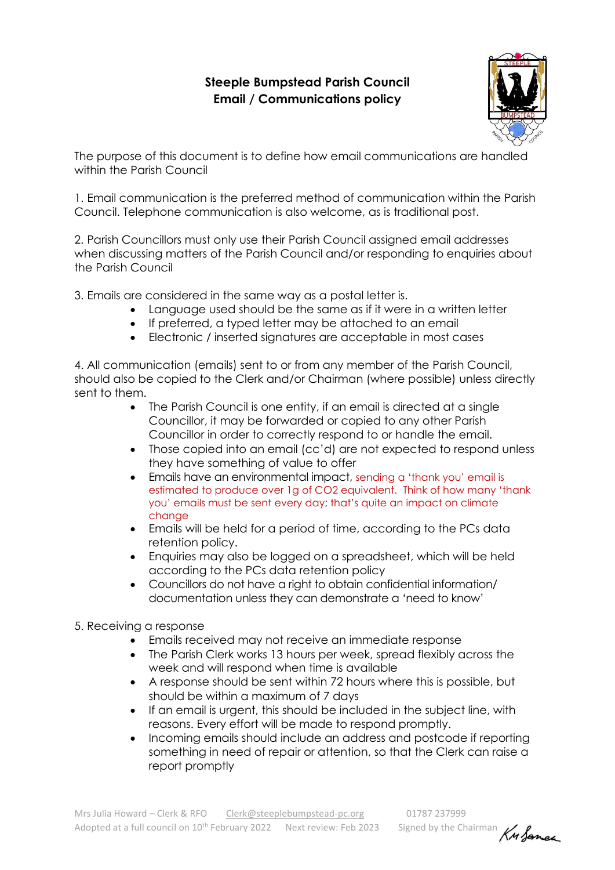## **Steeple Bumpstead Parish Council Email / Communications policy**



The purpose of this document is to define how email communications are handled within the Parish Council

1. Email communication is the preferred method of communication within the Parish Council. Telephone communication is also welcome, as is traditional post.

2. Parish Councillors must only use their Parish Council assigned email addresses when discussing matters of the Parish Council and/or responding to enquiries about the Parish Council

3. Emails are considered in the same way as a postal letter is.

- Language used should be the same as if it were in a written letter
- If preferred, a typed letter may be attached to an email
- Electronic / inserted signatures are acceptable in most cases

4. All communication (emails) sent to or from any member of the Parish Council, should also be copied to the Clerk and/or Chairman (where possible) unless directly sent to them.

- The Parish Council is one entity, if an email is directed at a single Councillor, it may be forwarded or copied to any other Parish Councillor in order to correctly respond to or handle the email.
- Those copied into an email (cc'd) are not expected to respond unless they have something of value to offer
- Emails have an environmental impact, sending a 'thank you' email is estimated to produce over 1g of CO2 equivalent. Think of how many 'thank you' emails must be sent every day; that's quite an impact on climate change
- Emails will be held for a period of time, according to the PCs data retention policy.
- Enquiries may also be logged on a spreadsheet, which will be held according to the PCs data retention policy
- Councillors do not have a right to obtain confidential information/ documentation unless they can demonstrate a 'need to know'

## 5. Receiving a response

- Emails received may not receive an immediate response
- The Parish Clerk works 13 hours per week, spread flexibly across the week and will respond when time is available
- A response should be sent within 72 hours where this is possible, but should be within a maximum of 7 days
- If an email is urgent, this should be included in the subject line, with reasons. Every effort will be made to respond promptly.
- Incoming emails should include an address and postcode if reporting something in need of repair or attention, so that the Clerk can raise a report promptly